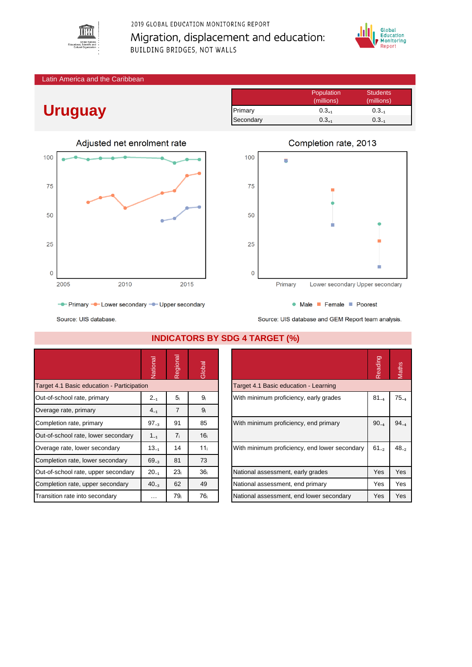

2019 GLOBAL EDUCATION MONITORING REPORT Migration, displacement and education: BUILDING BRIDGES, NOT WALLS



#### Latin America and the Caribbean

# **Uruguay**

|           | Population | <b>Students</b> |
|-----------|------------|-----------------|
|           | (millions) | (millions)      |
| Primary   | $0.3_{+1}$ | $0.3_{-1}$      |
| Secondary | $0.3_{+1}$ | $0.3_{-1}$      |





• Male • Female • Poorest

Source: UIS database and GEM Report team analysis.

- Primary - Lower secondary - Upper secondary

Source: UIS database.

|                                            | Vational  | Regional        | Global          |                                               | Reading   | Maths     |
|--------------------------------------------|-----------|-----------------|-----------------|-----------------------------------------------|-----------|-----------|
| Target 4.1 Basic education - Participation |           |                 |                 | Target 4.1 Basic education - Learning         |           |           |
| Out-of-school rate, primary                | $2_{-1}$  | 5 <sub>i</sub>  | 9 <sub>i</sub>  | With minimum proficiency, early grades        | $81_{-4}$ | $75_{-4}$ |
| Overage rate, primary                      | $4_{-1}$  | $\overline{7}$  | 9 <sub>i</sub>  |                                               |           |           |
| Completion rate, primary                   | $97_{-3}$ | 91              | 85              | With minimum proficiency, end primary         | $90_{-4}$ | $94_{-4}$ |
| Out-of-school rate, lower secondary        | $1_{-1}$  | 7 <sub>i</sub>  | 16 <sub>i</sub> |                                               |           |           |
| Overage rate, lower secondary              | $13_{-1}$ | 14              | 11 <sub>i</sub> | With minimum proficiency, end lower secondary | $61_{-2}$ | $48_{-2}$ |
| Completion rate, lower secondary           | $69_{-3}$ | 81              | 73              |                                               |           |           |
| Out-of-school rate, upper secondary        | $20_{-1}$ | 23 <sub>i</sub> | 36 <sub>i</sub> | National assessment, early grades             | Yes       | Yes       |
| Completion rate, upper secondary           | $40_{-3}$ | 62              | 49              | National assessment, end primary              | Yes       | Yes       |
| Transition rate into secondary             | $\cdots$  | 79 <sub>i</sub> | 76 <sub>i</sub> | National assessment, end lower secondary      | Yes       | Yes       |

## **INDICATORS BY SDG 4 TARGET (%)**

|                                               | Reading   | <b>laths</b> |
|-----------------------------------------------|-----------|--------------|
| Target 4.1 Basic education - Learning         |           |              |
| With minimum proficiency, early grades        | $81_{-4}$ | $75_{-4}$    |
| With minimum proficiency, end primary         | $90_{-4}$ | $94_{-4}$    |
| With minimum proficiency, end lower secondary | $61_{-2}$ | $48_{-2}$    |
| National assessment, early grades             | Yes       | Yes          |
| National assessment, end primary              | Yes       | Yes          |
| National assessment, end lower secondary      | Yes       | Yes          |

### Completion rate, 2013